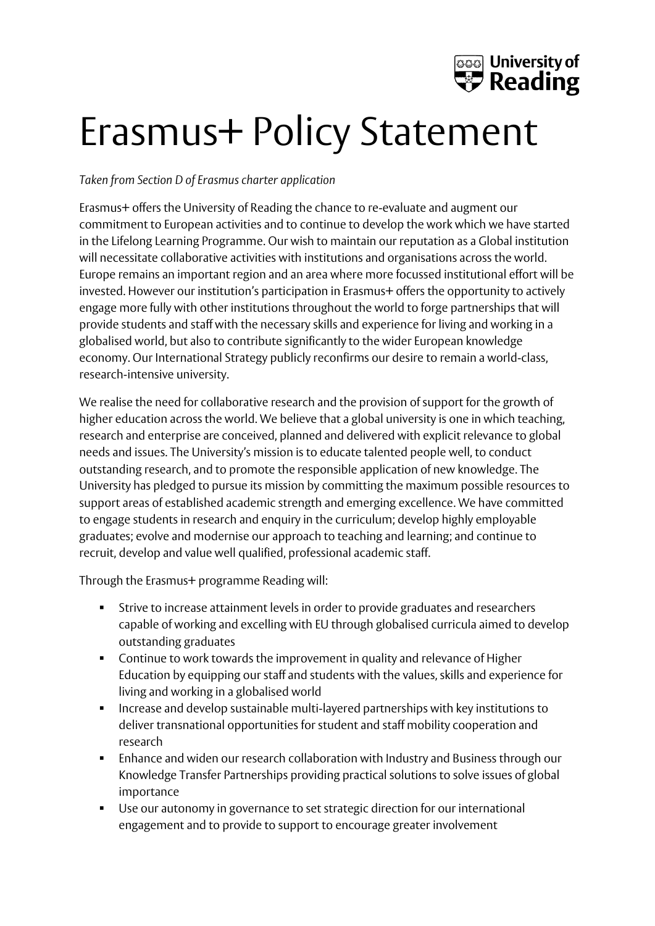

## Erasmus+ Policy Statement

## *Taken from Section D of Erasmus charter application*

Erasmus+ offers the University of Reading the chance to re-evaluate and augment our commitment to European activities and to continue to develop the work which we have started in the Lifelong Learning Programme. Our wish to maintain our reputation as a Global institution will necessitate collaborative activities with institutions and organisations across the world. Europe remains an important region and an area where more focussed institutional effort will be invested. However our institution's participation in Erasmus+ offers the opportunity to actively engage more fully with other institutions throughout the world to forge partnerships that will provide students and staff with the necessary skills and experience for living and working in a globalised world, but also to contribute significantly to the wider European knowledge economy. Our International Strategy publicly reconfirms our desire to remain a world-class, research-intensive university.

We realise the need for collaborative research and the provision of support for the growth of higher education across the world. We believe that a global university is one in which teaching, research and enterprise are conceived, planned and delivered with explicit relevance to global needs and issues. The University's mission is to educate talented people well, to conduct outstanding research, and to promote the responsible application of new knowledge. The University has pledged to pursue its mission by committing the maximum possible resources to support areas of established academic strength and emerging excellence. We have committed to engage students in research and enquiry in the curriculum; develop highly employable graduates; evolve and modernise our approach to teaching and learning; and continue to recruit, develop and value well qualified, professional academic staff.

Through the Erasmus+ programme Reading will:

- Strive to increase attainment levels in order to provide graduates and researchers capable of working and excelling with EU through globalised curricula aimed to develop outstanding graduates
- Continue to work towards the improvement in quality and relevance of Higher Education by equipping our staff and students with the values, skills and experience for living and working in a globalised world
- Increase and develop sustainable multi-layered partnerships with key institutions to deliver transnational opportunities for student and staff mobility cooperation and research
- Enhance and widen our research collaboration with Industry and Business through our Knowledge Transfer Partnerships providing practical solutions to solve issues of global importance
- Use our autonomy in governance to set strategic direction for our international engagement and to provide to support to encourage greater involvement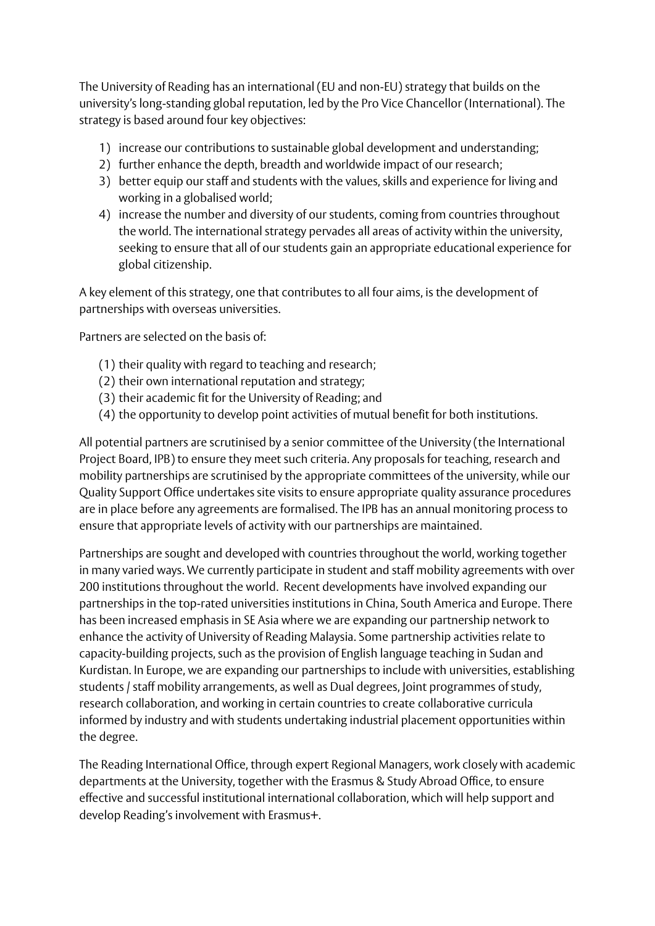The University of Reading has an international (EU and non-EU) strategy that builds on the university's long-standing global reputation, led by the Pro Vice Chancellor (International). The strategy is based around four key objectives:

- 1) increase our contributions to sustainable global development and understanding;
- 2) further enhance the depth, breadth and worldwide impact of our research;
- 3) better equip our staff and students with the values, skills and experience for living and working in a globalised world;
- 4) increase the number and diversity of our students, coming from countries throughout the world. The international strategy pervades all areas of activity within the university, seeking to ensure that all of our students gain an appropriate educational experience for global citizenship.

A key element of this strategy, one that contributes to all four aims, is the development of partnerships with overseas universities.

Partners are selected on the basis of:

- (1) their quality with regard to teaching and research;
- (2) their own international reputation and strategy;
- (3) their academic fit for the University of Reading; and
- (4) the opportunity to develop point activities of mutual benefit for both institutions.

All potential partners are scrutinised by a senior committee of the University (the International Project Board, IPB) to ensure they meet such criteria. Any proposals for teaching, research and mobility partnerships are scrutinised by the appropriate committees of the university, while our Quality Support Office undertakes site visits to ensure appropriate quality assurance procedures are in place before any agreements are formalised. The IPB has an annual monitoring process to ensure that appropriate levels of activity with our partnerships are maintained.

Partnerships are sought and developed with countries throughout the world, working together in many varied ways. We currently participate in student and staff mobility agreements with over 200 institutions throughout the world. Recent developments have involved expanding our partnerships in the top-rated universities institutions in China, South America and Europe. There has been increased emphasis in SE Asia where we are expanding our partnership network to enhance the activity of University of Reading Malaysia. Some partnership activities relate to capacity-building projects, such as the provision of English language teaching in Sudan and Kurdistan. In Europe, we are expanding our partnerships to include with universities, establishing students / staff mobility arrangements, as well as Dual degrees, Joint programmes of study, research collaboration, and working in certain countries to create collaborative curricula informed by industry and with students undertaking industrial placement opportunities within the degree.

The Reading International Office, through expert Regional Managers, work closely with academic departments at the University, together with the Erasmus & Study Abroad Office, to ensure effective and successful institutional international collaboration, which will help support and develop Reading's involvement with Erasmus+.